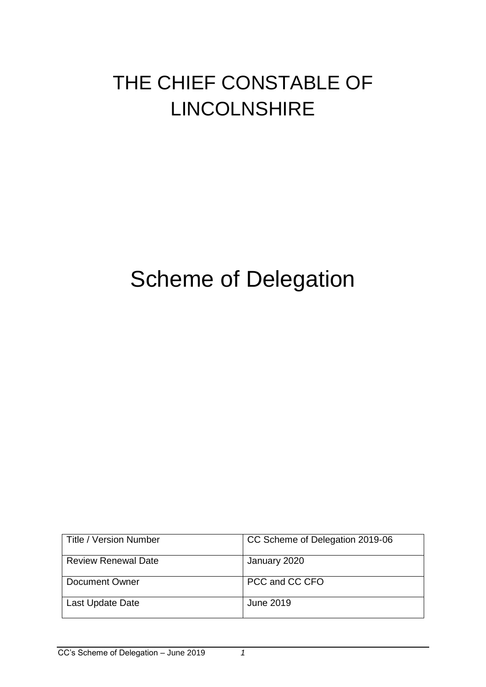## THE CHIEF CONSTABLE OF LINCOLNSHIRE

# Scheme of Delegation

| <b>Title / Version Number</b> | CC Scheme of Delegation 2019-06 |
|-------------------------------|---------------------------------|
| <b>Review Renewal Date</b>    | January 2020                    |
| Document Owner                | PCC and CC CFO                  |
| Last Update Date              | June 2019                       |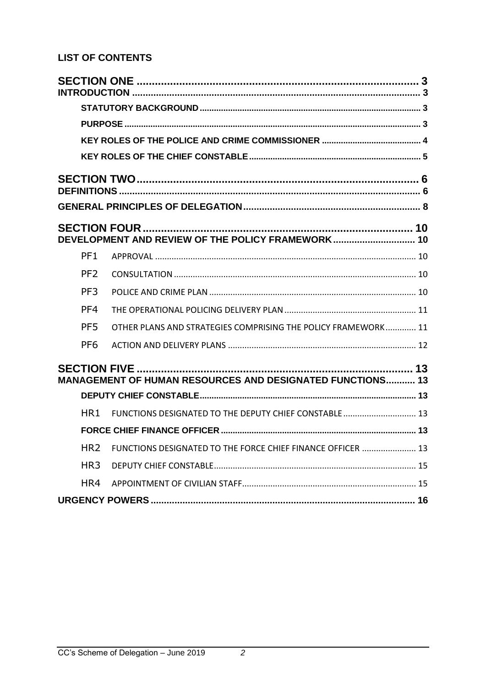### **LIST OF CONTENTS**

|                 | DEVELOPMENT AND REVIEW OF THE POLICY FRAMEWORK 10                |  |
|-----------------|------------------------------------------------------------------|--|
| PF <sub>1</sub> |                                                                  |  |
| PF <sub>2</sub> |                                                                  |  |
| PF <sub>3</sub> |                                                                  |  |
| PF4             |                                                                  |  |
| PF <sub>5</sub> | OTHER PLANS AND STRATEGIES COMPRISING THE POLICY FRAMEWORK 11    |  |
| PF <sub>6</sub> |                                                                  |  |
|                 | <b>MANAGEMENT OF HUMAN RESOURCES AND DESIGNATED FUNCTIONS 13</b> |  |
|                 |                                                                  |  |
| HR 1            | FUNCTIONS DESIGNATED TO THE DEPUTY CHIEF CONSTABLE  13           |  |
|                 |                                                                  |  |
| HR <sub>2</sub> | FUNCTIONS DESIGNATED TO THE FORCE CHIEF FINANCE OFFICER  13      |  |
| HR <sub>3</sub> |                                                                  |  |
| HR4             |                                                                  |  |
|                 |                                                                  |  |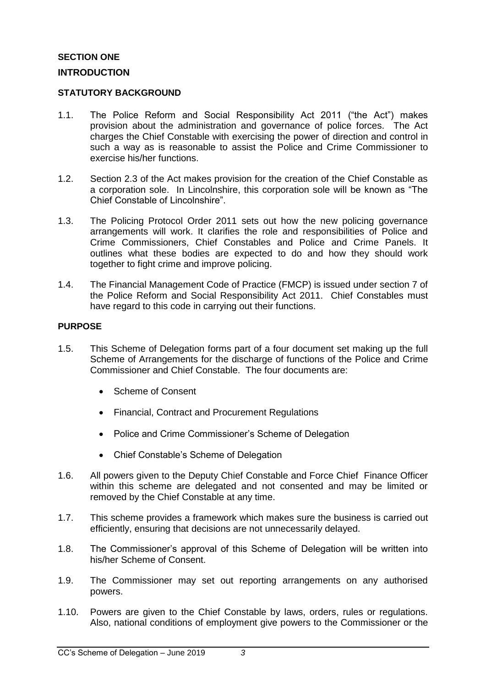#### <span id="page-2-1"></span><span id="page-2-0"></span>**SECTION ONE INTRODUCTION**

#### <span id="page-2-2"></span>**STATUTORY BACKGROUND**

- 1.1. The Police Reform and Social Responsibility Act 2011 ("the Act") makes provision about the administration and governance of police forces. The Act charges the Chief Constable with exercising the power of direction and control in such a way as is reasonable to assist the Police and Crime Commissioner to exercise his/her functions.
- 1.2. Section 2.3 of the Act makes provision for the creation of the Chief Constable as a corporation sole. In Lincolnshire, this corporation sole will be known as "The Chief Constable of Lincolnshire".
- 1.3. The Policing Protocol Order 2011 sets out how the new policing governance arrangements will work. It clarifies the role and responsibilities of Police and Crime Commissioners, Chief Constables and Police and Crime Panels. It outlines what these bodies are expected to do and how they should work together to fight crime and improve policing.
- 1.4. The Financial Management Code of Practice (FMCP) is issued under section 7 of the Police Reform and Social Responsibility Act 2011. Chief Constables must have regard to this code in carrying out their functions.

#### <span id="page-2-3"></span>**PURPOSE**

- 1.5. This Scheme of Delegation forms part of a four document set making up the full Scheme of Arrangements for the discharge of functions of the Police and Crime Commissioner and Chief Constable. The four documents are:
	- Scheme of Consent
	- Financial, Contract and Procurement Regulations
	- Police and Crime Commissioner's Scheme of Delegation
	- Chief Constable's Scheme of Delegation
- 1.6. All powers given to the Deputy Chief Constable and Force Chief Finance Officer within this scheme are delegated and not consented and may be limited or removed by the Chief Constable at any time.
- 1.7. This scheme provides a framework which makes sure the business is carried out efficiently, ensuring that decisions are not unnecessarily delayed.
- 1.8. The Commissioner's approval of this Scheme of Delegation will be written into his/her Scheme of Consent.
- 1.9. The Commissioner may set out reporting arrangements on any authorised powers.
- 1.10. Powers are given to the Chief Constable by laws, orders, rules or regulations. Also, national conditions of employment give powers to the Commissioner or the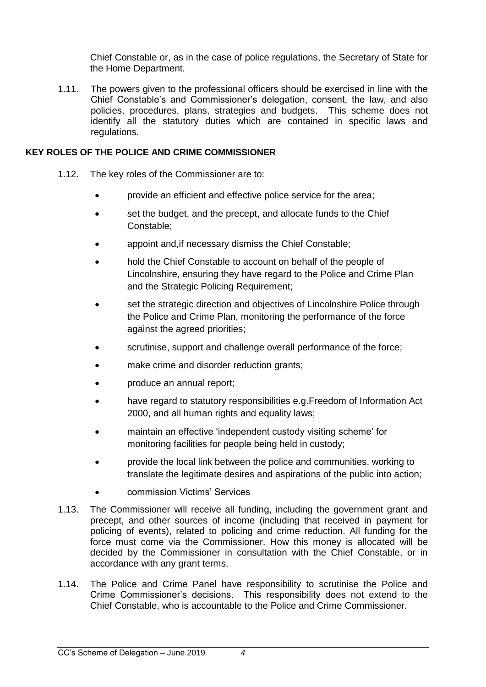Chief Constable or, as in the case of police regulations, the Secretary of State for the Home Department.

1.11. The powers given to the professional officers should be exercised in line with the Chief Constable's and Commissioner's delegation, consent, the law, and also policies, procedures, plans, strategies and budgets. This scheme does not identify all the statutory duties which are contained in specific laws and regulations.

#### <span id="page-3-0"></span>**KEY ROLES OF THE POLICE AND CRIME COMMISSIONER**

- 1.12. The key roles of the Commissioner are to:
	- provide an efficient and effective police service for the area;
	- set the budget, and the precept, and allocate funds to the Chief Constable;
	- appoint and,if necessary dismiss the Chief Constable;
	- hold the Chief Constable to account on behalf of the people of Lincolnshire, ensuring they have regard to the Police and Crime Plan and the Strategic Policing Requirement;
	- set the strategic direction and objectives of Lincolnshire Police through the Police and Crime Plan, monitoring the performance of the force against the agreed priorities;
	- scrutinise, support and challenge overall performance of the force;
	- make crime and disorder reduction grants;
	- produce an annual report;
	- have regard to statutory responsibilities e.g.Freedom of Information Act 2000, and all human rights and equality laws;
	- maintain an effective 'independent custody visiting scheme' for monitoring facilities for people being held in custody;
	- provide the local link between the police and communities, working to translate the legitimate desires and aspirations of the public into action;
	- commission Victims' Services
- 1.13. The Commissioner will receive all funding, including the government grant and precept, and other sources of income (including that received in payment for policing of events), related to policing and crime reduction. All funding for the force must come via the Commissioner. How this money is allocated will be decided by the Commissioner in consultation with the Chief Constable, or in accordance with any grant terms.
- 1.14. The Police and Crime Panel have responsibility to scrutinise the Police and Crime Commissioner's decisions. This responsibility does not extend to the Chief Constable, who is accountable to the Police and Crime Commissioner.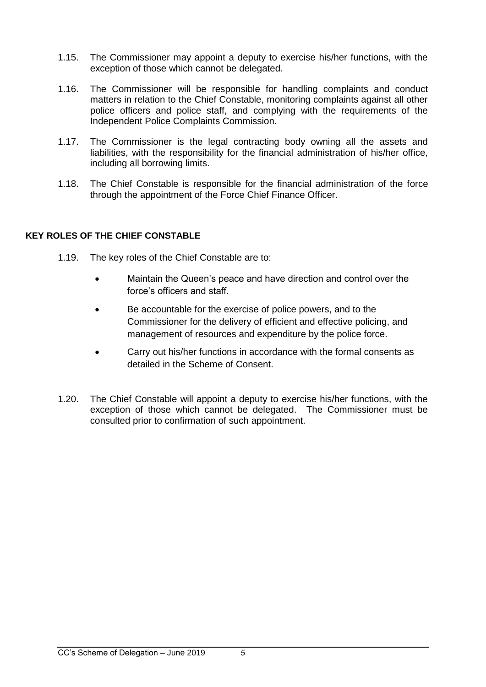- 1.15. The Commissioner may appoint a deputy to exercise his/her functions, with the exception of those which cannot be delegated.
- 1.16. The Commissioner will be responsible for handling complaints and conduct matters in relation to the Chief Constable, monitoring complaints against all other police officers and police staff, and complying with the requirements of the Independent Police Complaints Commission.
- 1.17. The Commissioner is the legal contracting body owning all the assets and liabilities, with the responsibility for the financial administration of his/her office, including all borrowing limits.
- 1.18. The Chief Constable is responsible for the financial administration of the force through the appointment of the Force Chief Finance Officer.

#### <span id="page-4-0"></span>**KEY ROLES OF THE CHIEF CONSTABLE**

- 1.19. The key roles of the Chief Constable are to:
	- Maintain the Queen's peace and have direction and control over the force's officers and staff.
	- Be accountable for the exercise of police powers, and to the Commissioner for the delivery of efficient and effective policing, and management of resources and expenditure by the police force.
	- Carry out his/her functions in accordance with the formal consents as detailed in the Scheme of Consent.
- 1.20. The Chief Constable will appoint a deputy to exercise his/her functions, with the exception of those which cannot be delegated. The Commissioner must be consulted prior to confirmation of such appointment.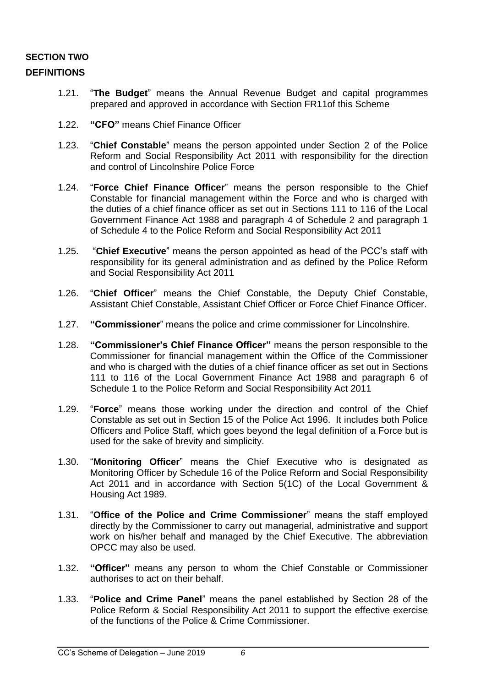#### <span id="page-5-1"></span><span id="page-5-0"></span>**SECTION TWO DEFINITIONS**

- 1.21. "**The Budget**" means the Annual Revenue Budget and capital programmes prepared and approved in accordance with Section FR11of this Scheme
- 1.22. **"CFO"** means Chief Finance Officer
- 1.23. "**Chief Constable**" means the person appointed under Section 2 of the Police Reform and Social Responsibility Act 2011 with responsibility for the direction and control of Lincolnshire Police Force
- 1.24. "**Force Chief Finance Officer**" means the person responsible to the Chief Constable for financial management within the Force and who is charged with the duties of a chief finance officer as set out in Sections 111 to 116 of the Local Government Finance Act 1988 and paragraph 4 of Schedule 2 and paragraph 1 of Schedule 4 to the Police Reform and Social Responsibility Act 2011
- 1.25. "**Chief Executive**" means the person appointed as head of the PCC's staff with responsibility for its general administration and as defined by the Police Reform and Social Responsibility Act 2011
- 1.26. "**Chief Officer**" means the Chief Constable, the Deputy Chief Constable, Assistant Chief Constable, Assistant Chief Officer or Force Chief Finance Officer.
- 1.27. **"Commissioner**" means the police and crime commissioner for Lincolnshire.
- 1.28. **"Commissioner's Chief Finance Officer"** means the person responsible to the Commissioner for financial management within the Office of the Commissioner and who is charged with the duties of a chief finance officer as set out in Sections 111 to 116 of the Local Government Finance Act 1988 and paragraph 6 of Schedule 1 to the Police Reform and Social Responsibility Act 2011
- 1.29. "**Force**" means those working under the direction and control of the Chief Constable as set out in Section 15 of the Police Act 1996. It includes both Police Officers and Police Staff, which goes beyond the legal definition of a Force but is used for the sake of brevity and simplicity.
- 1.30. "**Monitoring Officer**" means the Chief Executive who is designated as Monitoring Officer by Schedule 16 of the Police Reform and Social Responsibility Act 2011 and in accordance with Section 5(1C) of the Local Government & Housing Act 1989.
- 1.31. "**Office of the Police and Crime Commissioner**" means the staff employed directly by the Commissioner to carry out managerial, administrative and support work on his/her behalf and managed by the Chief Executive. The abbreviation OPCC may also be used.
- 1.32. **"Officer"** means any person to whom the Chief Constable or Commissioner authorises to act on their behalf.
- 1.33. "**Police and Crime Panel**" means the panel established by Section 28 of the Police Reform & Social Responsibility Act 2011 to support the effective exercise of the functions of the Police & Crime Commissioner.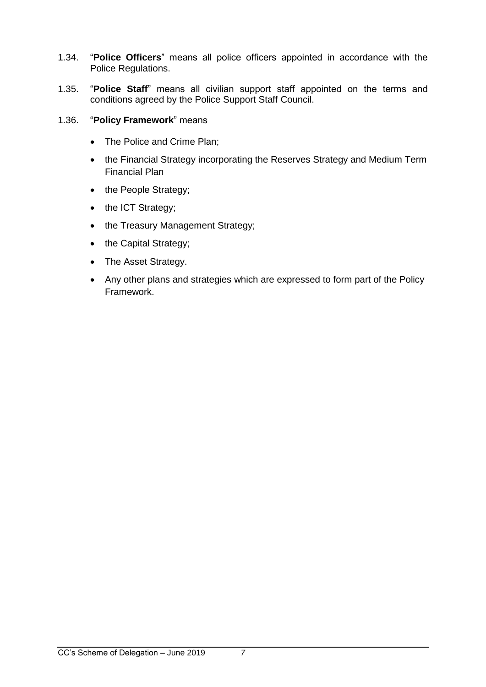- 1.34. "**Police Officers**" means all police officers appointed in accordance with the Police Regulations.
- 1.35. "**Police Staff**" means all civilian support staff appointed on the terms and conditions agreed by the Police Support Staff Council.
- 1.36. "**Policy Framework**" means
	- The Police and Crime Plan;
	- the Financial Strategy incorporating the Reserves Strategy and Medium Term Financial Plan
	- the People Strategy;
	- the ICT Strategy;
	- the Treasury Management Strategy;
	- the Capital Strategy;
	- The Asset Strategy.
	- Any other plans and strategies which are expressed to form part of the Policy Framework.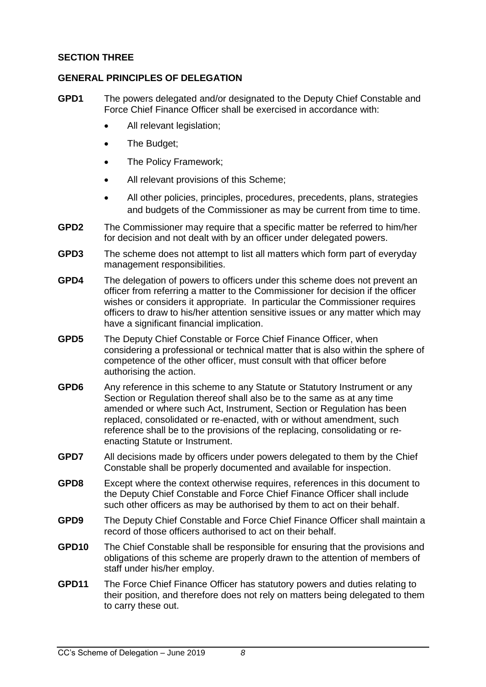#### **SECTION THREE**

#### <span id="page-7-0"></span>**GENERAL PRINCIPLES OF DELEGATION**

- **GPD1** The powers delegated and/or designated to the Deputy Chief Constable and Force Chief Finance Officer shall be exercised in accordance with:
	- All relevant legislation;
	- The Budget:
	- The Policy Framework;
	- All relevant provisions of this Scheme;
	- All other policies, principles, procedures, precedents, plans, strategies and budgets of the Commissioner as may be current from time to time.
- **GPD2** The Commissioner may require that a specific matter be referred to him/her for decision and not dealt with by an officer under delegated powers.
- **GPD3** The scheme does not attempt to list all matters which form part of everyday management responsibilities.
- **GPD4** The delegation of powers to officers under this scheme does not prevent an officer from referring a matter to the Commissioner for decision if the officer wishes or considers it appropriate. In particular the Commissioner requires officers to draw to his/her attention sensitive issues or any matter which may have a significant financial implication.
- **GPD5** The Deputy Chief Constable or Force Chief Finance Officer, when considering a professional or technical matter that is also within the sphere of competence of the other officer, must consult with that officer before authorising the action.
- **GPD6** Any reference in this scheme to any Statute or Statutory Instrument or any Section or Regulation thereof shall also be to the same as at any time amended or where such Act, Instrument, Section or Regulation has been replaced, consolidated or re-enacted, with or without amendment, such reference shall be to the provisions of the replacing, consolidating or reenacting Statute or Instrument.
- **GPD7** All decisions made by officers under powers delegated to them by the Chief Constable shall be properly documented and available for inspection.
- **GPD8** Except where the context otherwise requires, references in this document to the Deputy Chief Constable and Force Chief Finance Officer shall include such other officers as may be authorised by them to act on their behalf.
- **GPD9** The Deputy Chief Constable and Force Chief Finance Officer shall maintain a record of those officers authorised to act on their behalf.
- **GPD10** The Chief Constable shall be responsible for ensuring that the provisions and obligations of this scheme are properly drawn to the attention of members of staff under his/her employ.
- **GPD11** The Force Chief Finance Officer has statutory powers and duties relating to their position, and therefore does not rely on matters being delegated to them to carry these out.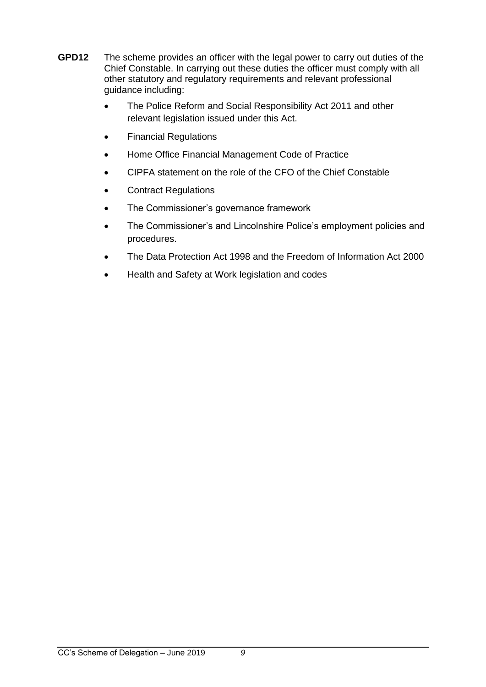- **GPD12** The scheme provides an officer with the legal power to carry out duties of the Chief Constable. In carrying out these duties the officer must comply with all other statutory and regulatory requirements and relevant professional guidance including:
	- The Police Reform and Social Responsibility Act 2011 and other relevant legislation issued under this Act.
	- Financial Regulations
	- Home Office Financial Management Code of Practice
	- CIPFA statement on the role of the CFO of the Chief Constable
	- Contract Regulations
	- The Commissioner's governance framework
	- The Commissioner's and Lincolnshire Police's employment policies and procedures.
	- The Data Protection Act 1998 and the Freedom of Information Act 2000
	- Health and Safety at Work legislation and codes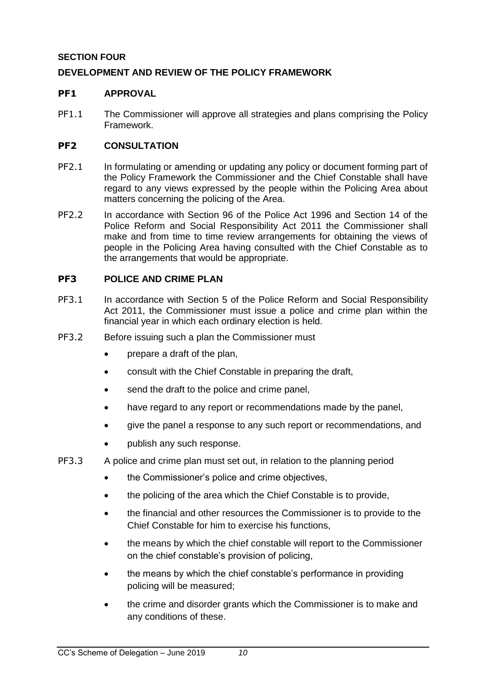#### <span id="page-9-0"></span>**SECTION FOUR**

#### <span id="page-9-1"></span>**DEVELOPMENT AND REVIEW OF THE POLICY FRAMEWORK**

#### <span id="page-9-2"></span>**PF1 APPROVAL**

PF1.1 The Commissioner will approve all strategies and plans comprising the Policy Framework.

#### <span id="page-9-3"></span>**PF2 CONSULTATION**

- PF2.1 In formulating or amending or updating any policy or document forming part of the Policy Framework the Commissioner and the Chief Constable shall have regard to any views expressed by the people within the Policing Area about matters concerning the policing of the Area.
- PF2.2 In accordance with Section 96 of the Police Act 1996 and Section 14 of the Police Reform and Social Responsibility Act 2011 the Commissioner shall make and from time to time review arrangements for obtaining the views of people in the Policing Area having consulted with the Chief Constable as to the arrangements that would be appropriate.

#### <span id="page-9-4"></span>**PF3 POLICE AND CRIME PLAN**

- PF3.1 In accordance with Section 5 of the Police Reform and Social Responsibility Act 2011, the Commissioner must issue a police and crime plan within the financial year in which each ordinary election is held.
- PF3.2 Before issuing such a plan the Commissioner must
	- prepare a draft of the plan,
	- consult with the Chief Constable in preparing the draft,
	- send the draft to the police and crime panel,
	- have regard to any report or recommendations made by the panel,
	- give the panel a response to any such report or recommendations, and
	- publish any such response.
- PF3.3 A police and crime plan must set out, in relation to the planning period
	- the Commissioner's police and crime objectives,
	- the policing of the area which the Chief Constable is to provide,
	- the financial and other resources the Commissioner is to provide to the Chief Constable for him to exercise his functions,
	- the means by which the chief constable will report to the Commissioner on the chief constable's provision of policing,
	- the means by which the chief constable's performance in providing policing will be measured;
	- the crime and disorder grants which the Commissioner is to make and any conditions of these.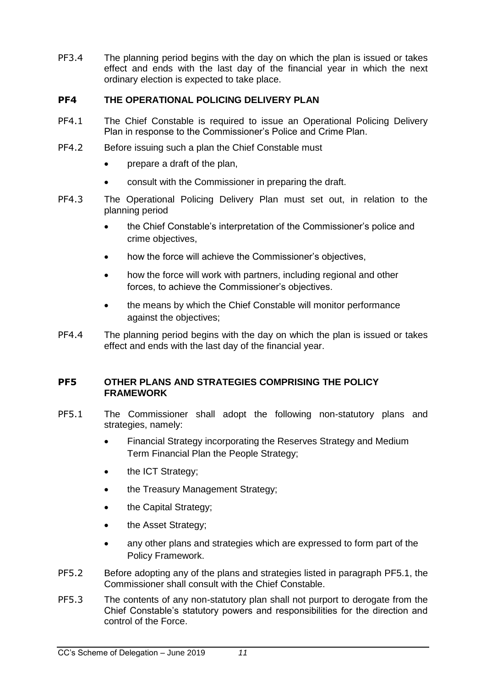PF3.4 The planning period begins with the day on which the plan is issued or takes effect and ends with the last day of the financial year in which the next ordinary election is expected to take place.

#### <span id="page-10-0"></span>**PF4 THE OPERATIONAL POLICING DELIVERY PLAN**

- PF4.1 The Chief Constable is required to issue an Operational Policing Delivery Plan in response to the Commissioner's Police and Crime Plan.
- PF4.2 Before issuing such a plan the Chief Constable must
	- prepare a draft of the plan,
	- consult with the Commissioner in preparing the draft.
- PF4.3 The Operational Policing Delivery Plan must set out, in relation to the planning period
	- the Chief Constable's interpretation of the Commissioner's police and crime objectives,
	- how the force will achieve the Commissioner's objectives,
	- how the force will work with partners, including regional and other forces, to achieve the Commissioner's objectives.
	- the means by which the Chief Constable will monitor performance against the objectives;
- PF4.4 The planning period begins with the day on which the plan is issued or takes effect and ends with the last day of the financial year.

#### <span id="page-10-1"></span>**PF5 OTHER PLANS AND STRATEGIES COMPRISING THE POLICY FRAMEWORK**

- <span id="page-10-2"></span>PF5.1 The Commissioner shall adopt the following non-statutory plans and strategies, namely:
	- Financial Strategy incorporating the Reserves Strategy and Medium Term Financial Plan the People Strategy;
	- the ICT Strategy;
	- the Treasury Management Strategy;
	- the Capital Strategy;
	- the Asset Strategy;
	- any other plans and strategies which are expressed to form part of the Policy Framework.
- PF5.2 Before adopting any of the plans and strategies listed in paragraph [PF5.1,](#page-10-2) the Commissioner shall consult with the Chief Constable.
- PF5.3 The contents of any non-statutory plan shall not purport to derogate from the Chief Constable's statutory powers and responsibilities for the direction and control of the Force.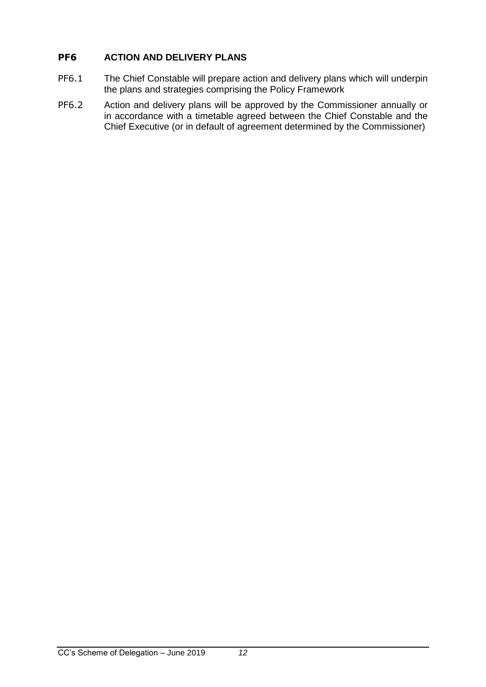#### <span id="page-11-0"></span>**PF6 ACTION AND DELIVERY PLANS**

- PF6.1 The Chief Constable will prepare action and delivery plans which will underpin the plans and strategies comprising the Policy Framework
- PF6.2 Action and delivery plans will be approved by the Commissioner annually or in accordance with a timetable agreed between the Chief Constable and the Chief Executive (or in default of agreement determined by the Commissioner)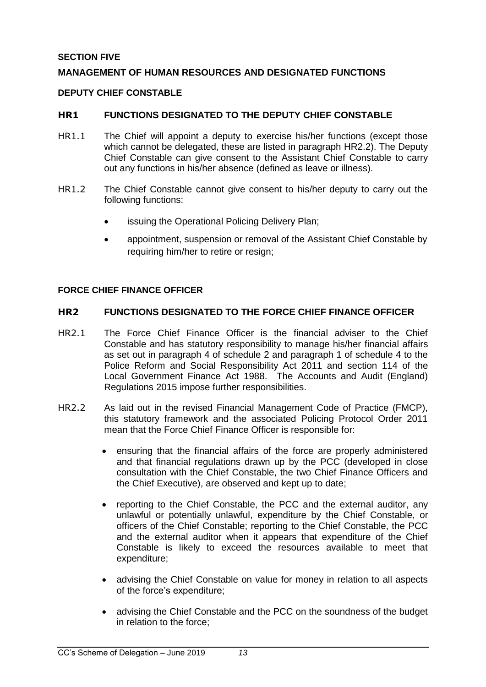#### <span id="page-12-0"></span>**SECTION FIVE**

#### <span id="page-12-1"></span>**MANAGEMENT OF HUMAN RESOURCES AND DESIGNATED FUNCTIONS**

#### <span id="page-12-2"></span>**DEPUTY CHIEF CONSTABLE**

#### <span id="page-12-3"></span>**HR1 FUNCTIONS DESIGNATED TO THE DEPUTY CHIEF CONSTABLE**

- HR1.1 The Chief will appoint a deputy to exercise his/her functions (except those which cannot be delegated, these are listed in paragraph HR2.2). The Deputy Chief Constable can give consent to the Assistant Chief Constable to carry out any functions in his/her absence (defined as leave or illness).
- HR1.2 The Chief Constable cannot give consent to his/her deputy to carry out the following functions:
	- issuing the Operational Policing Delivery Plan;
	- appointment, suspension or removal of the Assistant Chief Constable by requiring him/her to retire or resign;

#### <span id="page-12-4"></span>**FORCE CHIEF FINANCE OFFICER**

#### <span id="page-12-5"></span>**HR2 FUNCTIONS DESIGNATED TO THE FORCE CHIEF FINANCE OFFICER**

- HR2.1 The Force Chief Finance Officer is the financial adviser to the Chief Constable and has statutory responsibility to manage his/her financial affairs as set out in paragraph 4 of schedule 2 and paragraph 1 of schedule 4 to the Police Reform and Social Responsibility Act 2011 and section 114 of the Local Government Finance Act 1988. The Accounts and Audit (England) Regulations 2015 impose further responsibilities.
- HR2.2 As laid out in the revised Financial Management Code of Practice (FMCP), this statutory framework and the associated Policing Protocol Order 2011 mean that the Force Chief Finance Officer is responsible for:
	- ensuring that the financial affairs of the force are properly administered and that financial regulations drawn up by the PCC (developed in close consultation with the Chief Constable, the two Chief Finance Officers and the Chief Executive), are observed and kept up to date;
	- reporting to the Chief Constable, the PCC and the external auditor, any unlawful or potentially unlawful, expenditure by the Chief Constable, or officers of the Chief Constable; reporting to the Chief Constable, the PCC and the external auditor when it appears that expenditure of the Chief Constable is likely to exceed the resources available to meet that expenditure;
	- advising the Chief Constable on value for money in relation to all aspects of the force's expenditure;
	- advising the Chief Constable and the PCC on the soundness of the budget in relation to the force;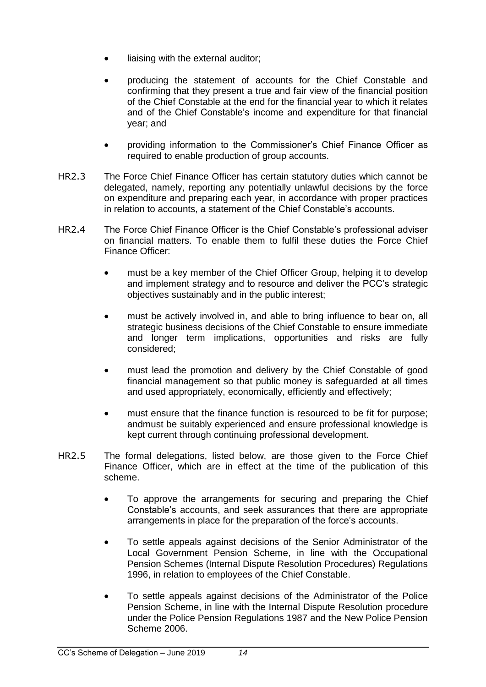- liaising with the external auditor;
- producing the statement of accounts for the Chief Constable and confirming that they present a true and fair view of the financial position of the Chief Constable at the end for the financial year to which it relates and of the Chief Constable's income and expenditure for that financial year; and
- providing information to the Commissioner's Chief Finance Officer as required to enable production of group accounts.
- HR2.3 The Force Chief Finance Officer has certain statutory duties which cannot be delegated, namely, reporting any potentially unlawful decisions by the force on expenditure and preparing each year, in accordance with proper practices in relation to accounts, a statement of the Chief Constable's accounts.
- HR2.4 The Force Chief Finance Officer is the Chief Constable's professional adviser on financial matters. To enable them to fulfil these duties the Force Chief Finance Officer:
	- must be a key member of the Chief Officer Group, helping it to develop and implement strategy and to resource and deliver the PCC's strategic objectives sustainably and in the public interest;
	- must be actively involved in, and able to bring influence to bear on, all strategic business decisions of the Chief Constable to ensure immediate and longer term implications, opportunities and risks are fully considered;
	- must lead the promotion and delivery by the Chief Constable of good financial management so that public money is safeguarded at all times and used appropriately, economically, efficiently and effectively;
	- must ensure that the finance function is resourced to be fit for purpose; andmust be suitably experienced and ensure professional knowledge is kept current through continuing professional development.
- HR2.5 The formal delegations, listed below, are those given to the Force Chief Finance Officer, which are in effect at the time of the publication of this scheme.
	- To approve the arrangements for securing and preparing the Chief Constable's accounts, and seek assurances that there are appropriate arrangements in place for the preparation of the force's accounts.
	- To settle appeals against decisions of the Senior Administrator of the Local Government Pension Scheme, in line with the Occupational Pension Schemes (Internal Dispute Resolution Procedures) Regulations 1996, in relation to employees of the Chief Constable.
	- To settle appeals against decisions of the Administrator of the Police Pension Scheme, in line with the Internal Dispute Resolution procedure under the Police Pension Regulations 1987 and the New Police Pension Scheme 2006.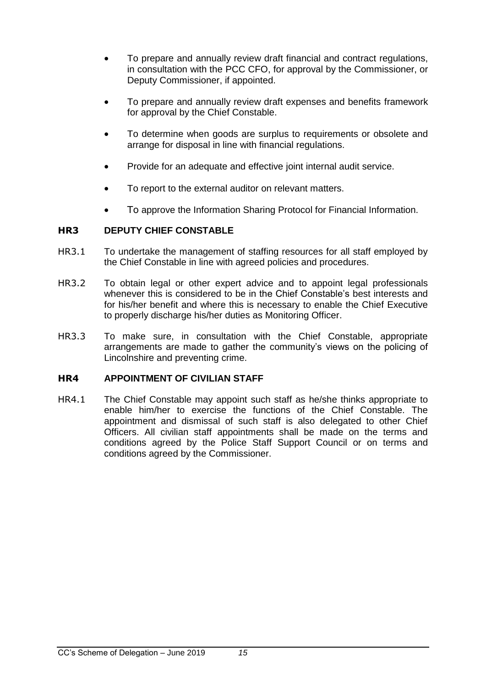- To prepare and annually review draft financial and contract regulations, in consultation with the PCC CFO, for approval by the Commissioner, or Deputy Commissioner, if appointed.
- To prepare and annually review draft expenses and benefits framework for approval by the Chief Constable.
- To determine when goods are surplus to requirements or obsolete and arrange for disposal in line with financial regulations.
- Provide for an adequate and effective joint internal audit service.
- To report to the external auditor on relevant matters.
- To approve the Information Sharing Protocol for Financial Information.

#### <span id="page-14-0"></span>**HR3 DEPUTY CHIEF CONSTABLE**

- HR3.1 To undertake the management of staffing resources for all staff employed by the Chief Constable in line with agreed policies and procedures.
- HR3.2 To obtain legal or other expert advice and to appoint legal professionals whenever this is considered to be in the Chief Constable's best interests and for his/her benefit and where this is necessary to enable the Chief Executive to properly discharge his/her duties as Monitoring Officer.
- HR3.3 To make sure, in consultation with the Chief Constable, appropriate arrangements are made to gather the community's views on the policing of Lincolnshire and preventing crime.

#### <span id="page-14-1"></span>**HR4 APPOINTMENT OF CIVILIAN STAFF**

HR4.1 The Chief Constable may appoint such staff as he/she thinks appropriate to enable him/her to exercise the functions of the Chief Constable. The appointment and dismissal of such staff is also delegated to other Chief Officers. All civilian staff appointments shall be made on the terms and conditions agreed by the Police Staff Support Council or on terms and conditions agreed by the Commissioner.